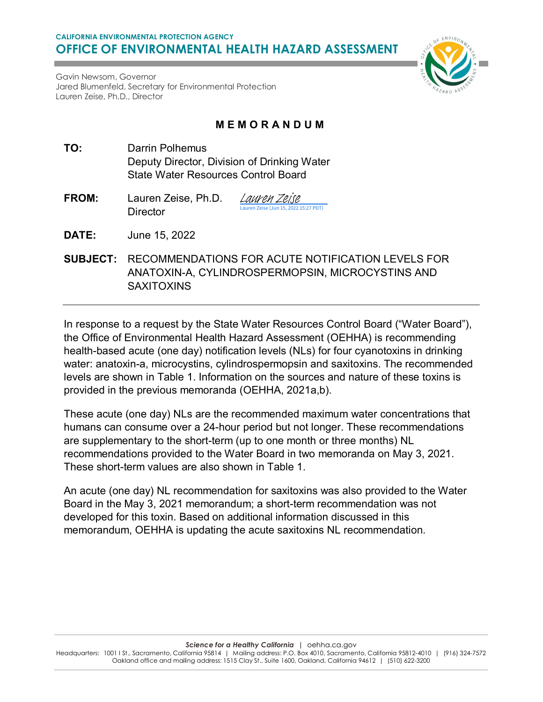

Gavin Newsom, Governor Jared Blumenfeld, Secretary for Environmental Protection Lauren Zeise, Ph.D., Director

# **MEMORANDUM**

- **TO:** Darrin Polhemus Deputy Director, Division of Drinking Water State Water Resources Control Board
- **FROM:** Lauren Zeise, Ph.D. **Director** 22 15:27 PDT) [Lauren Zeise](https://na3.documents.adobe.com/verifier?tx=CBJCHBCAABAAFIp7SFRC2WNYu4dV9_p0zvhSY9WLKj9k)
- **DATE:** June 15, 2022
- **SUBJECT:** RECOMMENDATIONS FOR ACUTE NOTIFICATION LEVELS FOR ANATOXIN-A, CYLINDROSPERMOPSIN, MICROCYSTINS AND **SAXITOXINS**

In response to a request by the State Water Resources Control Board ("Water Board"), the Office of Environmental Health Hazard Assessment (OEHHA) is recommending health-based acute (one day) notification levels (NLs) for four cyanotoxins in drinking water: anatoxin-a, microcystins, cylindrospermopsin and saxitoxins. The recommended levels are shown in Table 1. Information on the sources and nature of these toxins is provided in the previous memoranda (OEHHA, 2021a,b).

These acute (one day) NLs are the recommended maximum water concentrations that humans can consume over a 24-hour period but not longer. These recommendations are supplementary to the short-term (up to one month or three months) NL recommendations provided to the Water Board in two memoranda on May 3, 2021. These short-term values are also shown in Table 1.

An acute (one day) NL recommendation for saxitoxins was also provided to the Water Board in the May 3, 2021 memorandum; a short-term recommendation was not developed for this toxin. Based on additional information discussed in this memorandum, OEHHA is updating the acute saxitoxins NL recommendation.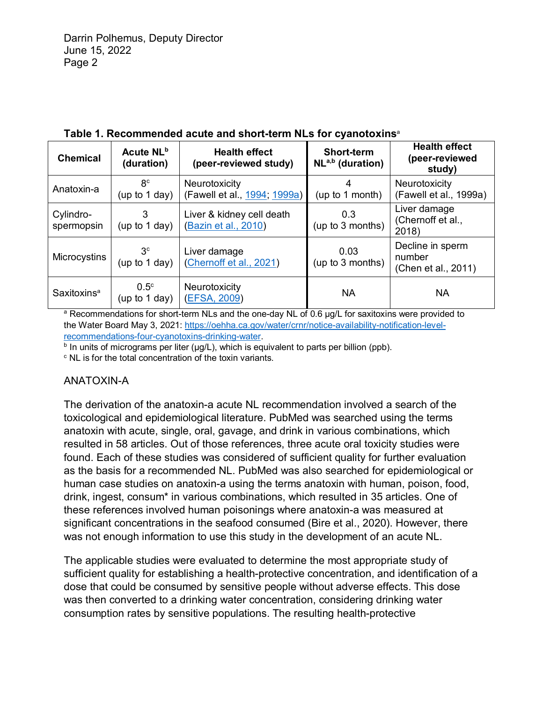| <b>Chemical</b>         | Acute NL <sup>b</sup><br>(duration) | <b>Health effect</b><br>(peer-reviewed study)     | <b>Short-term</b><br>$NLa,b$ (duration) | <b>Health effect</b><br>(peer-reviewed<br>study)  |
|-------------------------|-------------------------------------|---------------------------------------------------|-----------------------------------------|---------------------------------------------------|
| Anatoxin-a              | 8 <sup>c</sup><br>(up to 1 day)     | Neurotoxicity<br>(Fawell et al., 1994; 1999a)     | 4<br>(up to 1 month)                    | Neurotoxicity<br>(Fawell et al., 1999a)           |
| Cylindro-<br>spermopsin | 3<br>(up to 1 day)                  | Liver & kidney cell death<br>(Bazin et al., 2010) | 0.3<br>(up to 3 months)                 | Liver damage<br>(Chernoff et al.,<br>2018)        |
| Microcystins            | 3 <sup>c</sup><br>(up to $1$ day)   | Liver damage<br>(Chernoff et al., 2021)           | 0.03<br>(up to 3 months)                | Decline in sperm<br>number<br>(Chen et al., 2011) |
| Saxitoxins <sup>a</sup> | $0.5^{\circ}$<br>(up to 1 day)      | Neurotoxicity<br>(EFSA, 2009)                     | <b>NA</b>                               | <b>NA</b>                                         |

### **Table 1. Recommended acute and short-term NLs for cyanotoxins**<sup>a</sup>

a Recommendations for short-term NLs and the one-day NL of 0.6 µg/L for saxitoxins were provided to the Water Board May 3, 2021: [https://oehha.ca.gov/water/crnr/notice-availability-notification-level](https://oehha.ca.gov/water/crnr/notice-availability-notification-level-recommendations-four-cyanotoxins-drinking-water)[recommendations-four-cyanotoxins-drinking-water.](https://oehha.ca.gov/water/crnr/notice-availability-notification-level-recommendations-four-cyanotoxins-drinking-water)

 $b$  In units of micrograms per liter ( $\mu$ g/L), which is equivalent to parts per billion (ppb).

<sup>c</sup> NL is for the total concentration of the toxin variants.

## ANATOXIN-A

The derivation of the anatoxin-a acute NL recommendation involved a search of the toxicological and epidemiological literature. PubMed was searched using the terms anatoxin with acute, single, oral, gavage, and drink in various combinations, which resulted in 58 articles. Out of those references, three acute oral toxicity studies were found. Each of these studies was considered of sufficient quality for further evaluation as the basis for a recommended NL. PubMed was also searched for epidemiological or human case studies on anatoxin-a using the terms anatoxin with human, poison, food, drink, ingest, consum\* in various combinations, which resulted in 35 articles. One of these references involved human poisonings where anatoxin-a was measured at significant concentrations in the seafood consumed (Bire et al., 2020). However, there was not enough information to use this study in the development of an acute NL.

The applicable studies were evaluated to determine the most appropriate study of sufficient quality for establishing a health-protective concentration, and identification of a dose that could be consumed by sensitive people without adverse effects. This dose was then converted to a drinking water concentration, considering drinking water consumption rates by sensitive populations. The resulting health-protective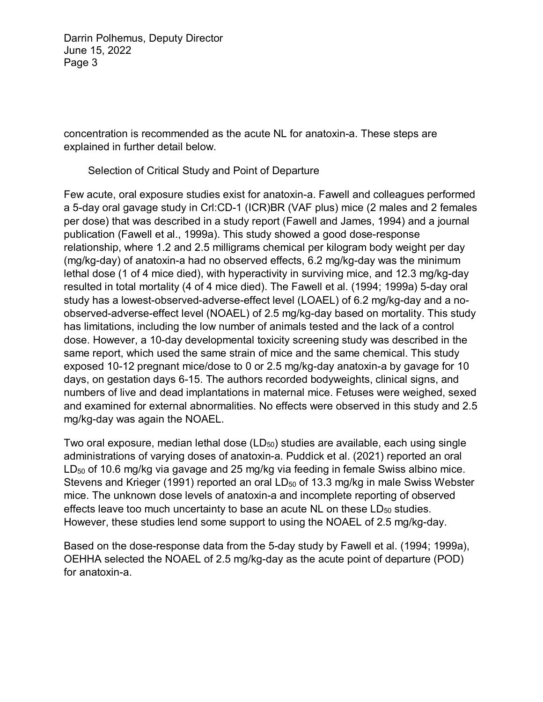concentration is recommended as the acute NL for anatoxin-a. These steps are explained in further detail below.

Selection of Critical Study and Point of Departure

Few acute, oral exposure studies exist for anatoxin-a. Fawell and colleagues performed a 5-day oral gavage study in Crl:CD-1 (ICR)BR (VAF plus) mice (2 males and 2 females per dose) that was described in a study report (Fawell and James, 1994) and a journal publication (Fawell et al., 1999a). This study showed a good dose-response relationship, where 1.2 and 2.5 milligrams chemical per kilogram body weight per day (mg/kg-day) of anatoxin-a had no observed effects, 6.2 mg/kg-day was the minimum lethal dose (1 of 4 mice died), with hyperactivity in surviving mice, and 12.3 mg/kg-day resulted in total mortality (4 of 4 mice died). The Fawell et al. (1994; 1999a) 5-day oral study has a lowest-observed-adverse-effect level (LOAEL) of 6.2 mg/kg-day and a noobserved-adverse-effect level (NOAEL) of 2.5 mg/kg-day based on mortality. This study has limitations, including the low number of animals tested and the lack of a control dose. However, a 10-day developmental toxicity screening study was described in the same report, which used the same strain of mice and the same chemical. This study exposed 10-12 pregnant mice/dose to 0 or 2.5 mg/kg-day anatoxin-a by gavage for 10 days, on gestation days 6-15. The authors recorded bodyweights, clinical signs, and numbers of live and dead implantations in maternal mice. Fetuses were weighed, sexed and examined for external abnormalities. No effects were observed in this study and 2.5 mg/kg-day was again the NOAEL.

Two oral exposure, median lethal dose  $(LD_{50})$  studies are available, each using single administrations of varying doses of anatoxin-a. Puddick et al. (2021) reported an oral LD<sub>50</sub> of 10.6 mg/kg via gavage and 25 mg/kg via feeding in female Swiss albino mice. Stevens and Krieger (1991) reported an oral  $LD_{50}$  of 13.3 mg/kg in male Swiss Webster mice. The unknown dose levels of anatoxin-a and incomplete reporting of observed effects leave too much uncertainty to base an acute  $NL$  on these  $LD_{50}$  studies. However, these studies lend some support to using the NOAEL of 2.5 mg/kg-day.

Based on the dose-response data from the 5-day study by Fawell et al. (1994; 1999a), OEHHA selected the NOAEL of 2.5 mg/kg-day as the acute point of departure (POD) for anatoxin-a.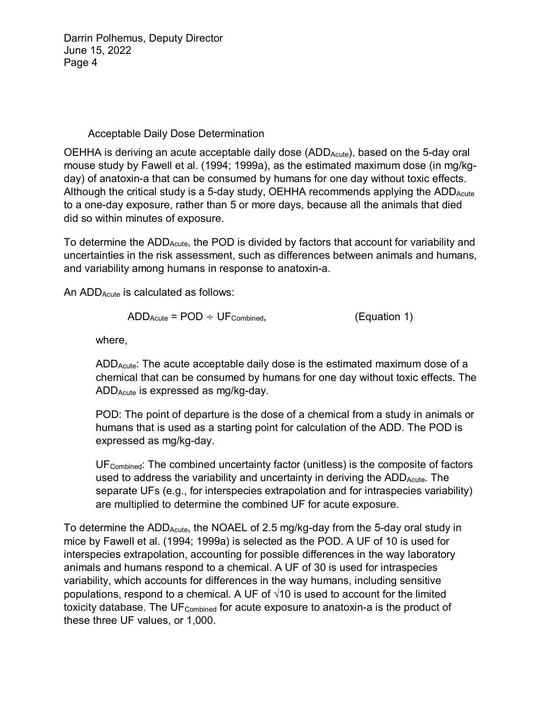## Acceptable Daily Dose Determination

OEHHA is deriving an acute acceptable daily dose  $(ADD_{Acute})$ , based on the 5-day oral mouse study by Fawell et al. (1994; 1999a), as the estimated maximum dose (in mg/kgday) of anatoxin-a that can be consumed by humans for one day without toxic effects. Although the critical study is a 5-day study, OEHHA recommends applying the  $ADD_{Acute}$ to a one-day exposure, rather than 5 or more days, because all the animals that died did so within minutes of exposure.

To determine the  $ADD_{Acute}$ , the POD is divided by factors that account for variability and uncertainties in the risk assessment, such as differences between animals and humans, and variability among humans in response to anatoxin-a.

An ADD<sub>Acute</sub> is calculated as follows:

$$
ADD_{Acute} = POD \div UF_{Combined}, \qquad (Equation 1)
$$

where,

ADDAcute: The acute acceptable daily dose is the estimated maximum dose of a chemical that can be consumed by humans for one day without toxic effects. The ADDAcute is expressed as mg/kg-day.

POD: The point of departure is the dose of a chemical from a study in animals or humans that is used as a starting point for calculation of the ADD. The POD is expressed as mg/kg-day.

UF<sub>Combined</sub>: The combined uncertainty factor (unitless) is the composite of factors used to address the variability and uncertainty in deriving the ADD<sub>Acute</sub>. The separate UFs (e.g., for interspecies extrapolation and for intraspecies variability) are multiplied to determine the combined UF for acute exposure.

To determine the  $ADD_{Acute}$ , the NOAEL of 2.5 mg/kg-day from the 5-day oral study in mice by Fawell et al. (1994; 1999a) is selected as the POD. A UF of 10 is used for interspecies extrapolation, accounting for possible differences in the way laboratory animals and humans respond to a chemical. A UF of 30 is used for intraspecies variability, which accounts for differences in the way humans, including sensitive populations, respond to a chemical. A UF of  $\sqrt{10}$  is used to account for the limited toxicity database. The U $F_{\text{Combined}}$  for acute exposure to anatoxin-a is the product of these three UF values, or 1,000.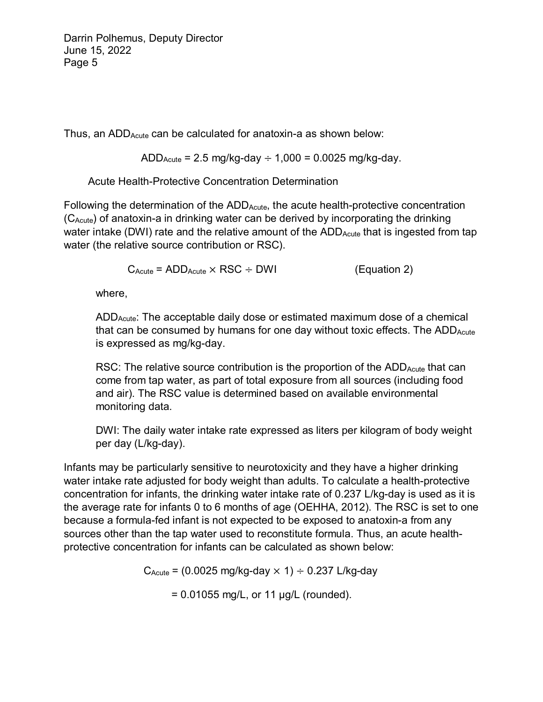Thus, an  $ADD_{Acute}$  can be calculated for anatoxin-a as shown below:

 $ADD_{Acute} = 2.5$  mg/kg-day  $\div$  1,000 = 0.0025 mg/kg-day.

Acute Health-Protective Concentration Determination

Following the determination of the  $ADD_{Acute}$ , the acute health-protective concentration (CAcute) of anatoxin-a in drinking water can be derived by incorporating the drinking water intake (DWI) rate and the relative amount of the ADD<sub>Acute</sub> that is ingested from tap water (the relative source contribution or RSC).

 $C_{\text{Acute}} = \text{ADD}_{\text{Acute}} \times \text{RSC} \div \text{DWI}$  (Equation 2)

where,

ADDAcute: The acceptable daily dose or estimated maximum dose of a chemical that can be consumed by humans for one day without toxic effects. The  $ADD_{Acute}$ is expressed as mg/kg-day.

RSC: The relative source contribution is the proportion of the  $ADD_{Acute}$  that can come from tap water, as part of total exposure from all sources (including food and air). The RSC value is determined based on available environmental monitoring data.

DWI: The daily water intake rate expressed as liters per kilogram of body weight per day (L/kg-day).

Infants may be particularly sensitive to neurotoxicity and they have a higher drinking water intake rate adjusted for body weight than adults. To calculate a health-protective concentration for infants, the drinking water intake rate of 0.237 L/kg-day is used as it is the average rate for infants 0 to 6 months of age (OEHHA, 2012). The RSC is set to one because a formula-fed infant is not expected to be exposed to anatoxin-a from any sources other than the tap water used to reconstitute formula. Thus, an acute healthprotective concentration for infants can be calculated as shown below:

 $C_{\text{Acute}} = (0.0025 \text{ mg/kg-day} \times 1) \div 0.237 \text{ L/kg-day}$ 

 $= 0.01055$  mg/L, or 11 µg/L (rounded).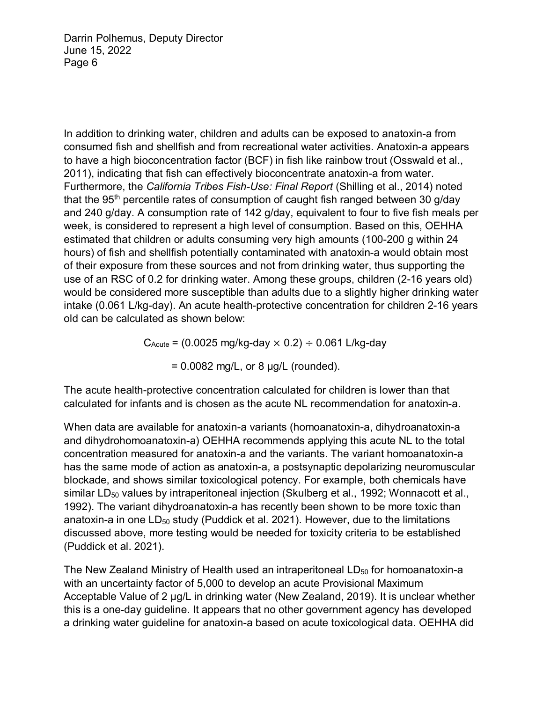In addition to drinking water, children and adults can be exposed to anatoxin-a from consumed fish and shellfish and from recreational water activities. Anatoxin-a appears to have a high bioconcentration factor (BCF) in fish like rainbow trout (Osswald et al., 2011), indicating that fish can effectively bioconcentrate anatoxin-a from water. Furthermore, the *California Tribes Fish-Use: Final Report* (Shilling et al., 2014) noted that the 95<sup>th</sup> percentile rates of consumption of caught fish ranged between 30 g/day and 240 g/day. A consumption rate of 142 g/day, equivalent to four to five fish meals per week, is considered to represent a high level of consumption. Based on this, OEHHA estimated that children or adults consuming very high amounts (100-200 g within 24 hours) of fish and shellfish potentially contaminated with anatoxin-a would obtain most of their exposure from these sources and not from drinking water, thus supporting the use of an RSC of 0.2 for drinking water. Among these groups, children (2-16 years old) would be considered more susceptible than adults due to a slightly higher drinking water intake (0.061 L/kg-day). An acute health-protective concentration for children 2-16 years old can be calculated as shown below:

 $C_{\text{Acute}} = (0.0025 \text{ mg/kg-day} \times 0.2) \div 0.061 \text{ L/kg-day}$ 

 $= 0.0082$  mg/L, or 8  $\mu$ g/L (rounded).

The acute health-protective concentration calculated for children is lower than that calculated for infants and is chosen as the acute NL recommendation for anatoxin-a.

When data are available for anatoxin-a variants (homoanatoxin-a, dihydroanatoxin-a and dihydrohomoanatoxin-a) OEHHA recommends applying this acute NL to the total concentration measured for anatoxin-a and the variants. The variant homoanatoxin-a has the same mode of action as anatoxin-a, a postsynaptic depolarizing neuromuscular blockade, and shows similar toxicological potency. For example, both chemicals have similar LD $_{50}$  values by intraperitoneal injection (Skulberg et al., 1992; Wonnacott et al., 1992). The variant dihydroanatoxin-a has recently been shown to be more toxic than anatoxin-a in one  $LD_{50}$  study (Puddick et al. 2021). However, due to the limitations discussed above, more testing would be needed for toxicity criteria to be established (Puddick et al. 2021).

The New Zealand Ministry of Health used an intraperitoneal  $LD_{50}$  for homoanatoxin-a with an uncertainty factor of 5,000 to develop an acute Provisional Maximum Acceptable Value of 2 µg/L in drinking water (New Zealand, 2019). It is unclear whether this is a one-day guideline. It appears that no other government agency has developed a drinking water guideline for anatoxin-a based on acute toxicological data. OEHHA did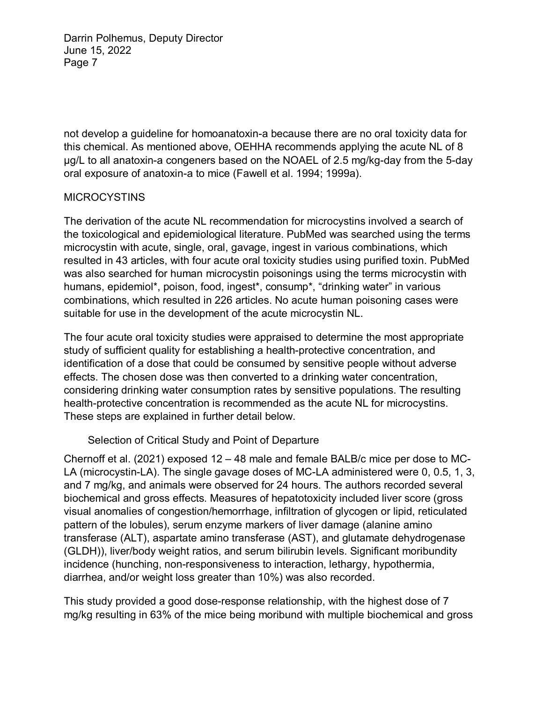not develop a guideline for homoanatoxin-a because there are no oral toxicity data for this chemical. As mentioned above, OEHHA recommends applying the acute NL of 8 µg/L to all anatoxin-a congeners based on the NOAEL of 2.5 mg/kg-day from the 5-day oral exposure of anatoxin-a to mice (Fawell et al. 1994; 1999a).

#### MICROCYSTINS

The derivation of the acute NL recommendation for microcystins involved a search of the toxicological and epidemiological literature. PubMed was searched using the terms microcystin with acute, single, oral, gavage, ingest in various combinations, which resulted in 43 articles, with four acute oral toxicity studies using purified toxin. PubMed was also searched for human microcystin poisonings using the terms microcystin with humans, epidemiol\*, poison, food, ingest\*, consump\*, "drinking water" in various combinations, which resulted in 226 articles. No acute human poisoning cases were suitable for use in the development of the acute microcystin NL.

The four acute oral toxicity studies were appraised to determine the most appropriate study of sufficient quality for establishing a health-protective concentration, and identification of a dose that could be consumed by sensitive people without adverse effects. The chosen dose was then converted to a drinking water concentration, considering drinking water consumption rates by sensitive populations. The resulting health-protective concentration is recommended as the acute NL for microcystins. These steps are explained in further detail below.

#### Selection of Critical Study and Point of Departure

Chernoff et al. (2021) exposed 12 – 48 male and female BALB/c mice per dose to MC-LA (microcystin-LA). The single gavage doses of MC-LA administered were 0, 0.5, 1, 3, and 7 mg/kg, and animals were observed for 24 hours. The authors recorded several biochemical and gross effects. Measures of hepatotoxicity included liver score (gross visual anomalies of congestion/hemorrhage, infiltration of glycogen or lipid, reticulated pattern of the lobules), serum enzyme markers of liver damage (alanine amino transferase (ALT), aspartate amino transferase (AST), and glutamate dehydrogenase (GLDH)), liver/body weight ratios, and serum bilirubin levels. Significant moribundity incidence (hunching, non-responsiveness to interaction, lethargy, hypothermia, diarrhea, and/or weight loss greater than 10%) was also recorded.

This study provided a good dose-response relationship, with the highest dose of 7 mg/kg resulting in 63% of the mice being moribund with multiple biochemical and gross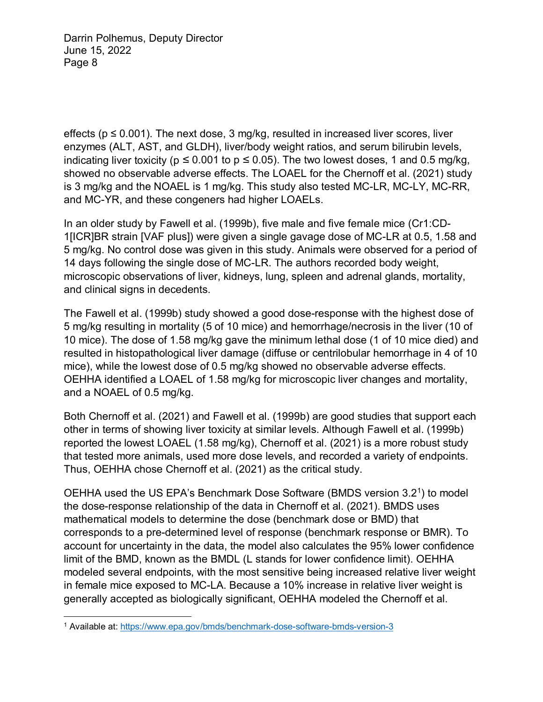effects ( $p \le 0.001$ ). The next dose, 3 mg/kg, resulted in increased liver scores, liver enzymes (ALT, AST, and GLDH), liver/body weight ratios, and serum bilirubin levels, indicating liver toxicity (p *≤* 0.001 to p *≤* 0.05). The two lowest doses, 1 and 0.5 mg/kg, showed no observable adverse effects. The LOAEL for the Chernoff et al. (2021) study is 3 mg/kg and the NOAEL is 1 mg/kg. This study also tested MC-LR, MC-LY, MC-RR, and MC-YR, and these congeners had higher LOAELs.

In an older study by Fawell et al. (1999b), five male and five female mice (Cr1:CD-1[ICR]BR strain [VAF plus]) were given a single gavage dose of MC-LR at 0.5, 1.58 and 5 mg/kg. No control dose was given in this study. Animals were observed for a period of 14 days following the single dose of MC-LR. The authors recorded body weight, microscopic observations of liver, kidneys, lung, spleen and adrenal glands, mortality, and clinical signs in decedents.

The Fawell et al. (1999b) study showed a good dose-response with the highest dose of 5 mg/kg resulting in mortality (5 of 10 mice) and hemorrhage/necrosis in the liver (10 of 10 mice). The dose of 1.58 mg/kg gave the minimum lethal dose (1 of 10 mice died) and resulted in histopathological liver damage (diffuse or centrilobular hemorrhage in 4 of 10 mice), while the lowest dose of 0.5 mg/kg showed no observable adverse effects. OEHHA identified a LOAEL of 1.58 mg/kg for microscopic liver changes and mortality, and a NOAEL of 0.5 mg/kg.

Both Chernoff et al. (2021) and Fawell et al. (1999b) are good studies that support each other in terms of showing liver toxicity at similar levels. Although Fawell et al. (1999b) reported the lowest LOAEL (1.58 mg/kg), Chernoff et al. (2021) is a more robust study that tested more animals, used more dose levels, and recorded a variety of endpoints. Thus, OEHHA chose Chernoff et al. (2021) as the critical study.

OEHHA used the US EPA's Benchmark Dose Software (BMDS version 3.21) to model the dose-response relationship of the data in Chernoff et al. (2021). BMDS uses mathematical models to determine the dose (benchmark dose or BMD) that corresponds to a pre-determined level of response (benchmark response or BMR). To account for uncertainty in the data, the model also calculates the 95% lower confidence limit of the BMD, known as the BMDL (L stands for lower confidence limit). OEHHA modeled several endpoints, with the most sensitive being increased relative liver weight in female mice exposed to MC-LA. Because a 10% increase in relative liver weight is generally accepted as biologically significant, OEHHA modeled the Chernoff et al.

 $\overline{a}$ <sup>1</sup> Available at[: https://www.epa.gov/bmds/benchmark-dose-software-bmds-version-3](https://www.epa.gov/bmds/benchmark-dose-software-bmds-version-3)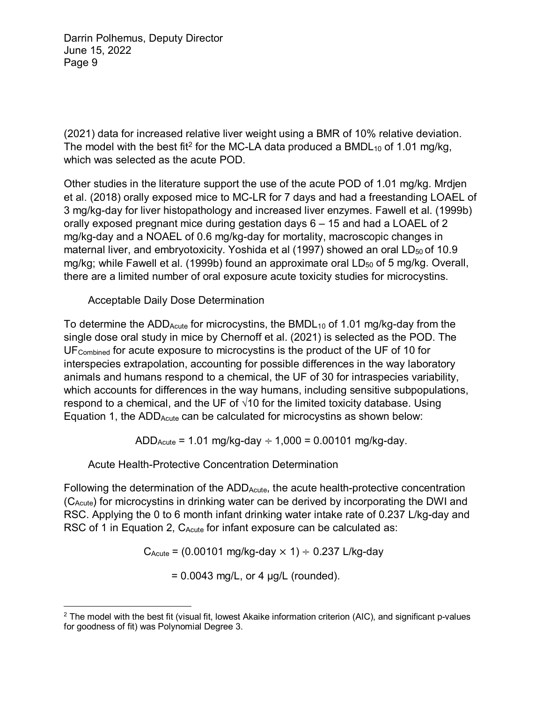(2021) data for increased relative liver weight using a BMR of 10% relative deviation. The model with the best fit<sup>2</sup> for the MC-LA data produced a BMDL<sub>10</sub> of 1.01 mg/kg, which was selected as the acute POD.

Other studies in the literature support the use of the acute POD of 1.01 mg/kg. Mrdjen et al. (2018) orally exposed mice to MC-LR for 7 days and had a freestanding LOAEL of 3 mg/kg-day for liver histopathology and increased liver enzymes. Fawell et al. (1999b) orally exposed pregnant mice during gestation days 6 – 15 and had a LOAEL of 2 mg/kg-day and a NOAEL of 0.6 mg/kg-day for mortality, macroscopic changes in maternal liver, and embryotoxicity. Yoshida et al  $(1997)$  showed an oral LD<sub>50</sub> of 10.9 mg/kg; while Fawell et al. (1999b) found an approximate oral  $LD_{50}$  of 5 mg/kg. Overall, there are a limited number of oral exposure acute toxicity studies for microcystins.

Acceptable Daily Dose Determination

To determine the ADD<sub>Acute</sub> for microcystins, the BMDL<sub>10</sub> of 1.01 mg/kg-day from the single dose oral study in mice by Chernoff et al. (2021) is selected as the POD. The UFCombined for acute exposure to microcystins is the product of the UF of 10 for interspecies extrapolation, accounting for possible differences in the way laboratory animals and humans respond to a chemical, the UF of 30 for intraspecies variability, which accounts for differences in the way humans, including sensitive subpopulations, respond to a chemical, and the UF of  $\sqrt{10}$  for the limited toxicity database. Using Equation 1, the ADD<sub>Acute</sub> can be calculated for microcystins as shown below:

 $ADD_{Acute} = 1.01$  mg/kg-day  $\div 1,000 = 0.00101$  mg/kg-day.

Acute Health-Protective Concentration Determination

Following the determination of the  $ADD_{Acute}$ , the acute health-protective concentration (CAcute) for microcystins in drinking water can be derived by incorporating the DWI and RSC. Applying the 0 to 6 month infant drinking water intake rate of 0.237 L/kg-day and RSC of 1 in Equation 2, C<sub>Acute</sub> for infant exposure can be calculated as:

 $C_{\text{Acute}}$  = (0.00101 mg/kg-day  $\times$  1)  $\div$  0.237 L/kg-day

 $= 0.0043$  mg/L, or 4  $\mu$ g/L (rounded).

 $\overline{a}$  $2$  The model with the best fit (visual fit, lowest Akaike information criterion (AIC), and significant p-values for goodness of fit) was Polynomial Degree 3.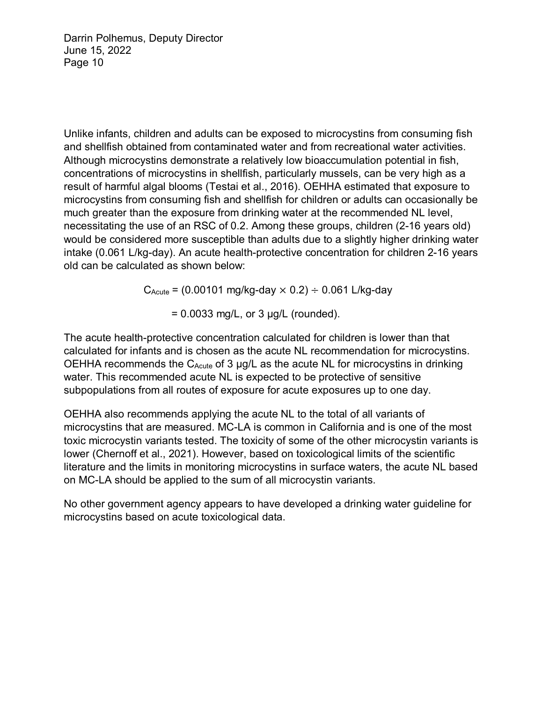Unlike infants, children and adults can be exposed to microcystins from consuming fish and shellfish obtained from contaminated water and from recreational water activities. Although microcystins demonstrate a relatively low bioaccumulation potential in fish, concentrations of microcystins in shellfish, particularly mussels, can be very high as a result of harmful algal blooms (Testai et al., 2016). OEHHA estimated that exposure to microcystins from consuming fish and shellfish for children or adults can occasionally be much greater than the exposure from drinking water at the recommended NL level, necessitating the use of an RSC of 0.2. Among these groups, children (2-16 years old) would be considered more susceptible than adults due to a slightly higher drinking water intake (0.061 L/kg-day). An acute health-protective concentration for children 2-16 years old can be calculated as shown below:

 $C_{\text{Acute}}$  = (0.00101 mg/kg-day  $\times$  0.2)  $\div$  0.061 L/kg-day

 $= 0.0033$  mg/L, or 3  $\mu$ g/L (rounded).

The acute health-protective concentration calculated for children is lower than that calculated for infants and is chosen as the acute NL recommendation for microcystins. OEHHA recommends the  $C_{Acute}$  of 3  $\mu$ g/L as the acute NL for microcystins in drinking water. This recommended acute NL is expected to be protective of sensitive subpopulations from all routes of exposure for acute exposures up to one day.

OEHHA also recommends applying the acute NL to the total of all variants of microcystins that are measured. MC-LA is common in California and is one of the most toxic microcystin variants tested. The toxicity of some of the other microcystin variants is lower (Chernoff et al., 2021). However, based on toxicological limits of the scientific literature and the limits in monitoring microcystins in surface waters, the acute NL based on MC-LA should be applied to the sum of all microcystin variants.

No other government agency appears to have developed a drinking water guideline for microcystins based on acute toxicological data.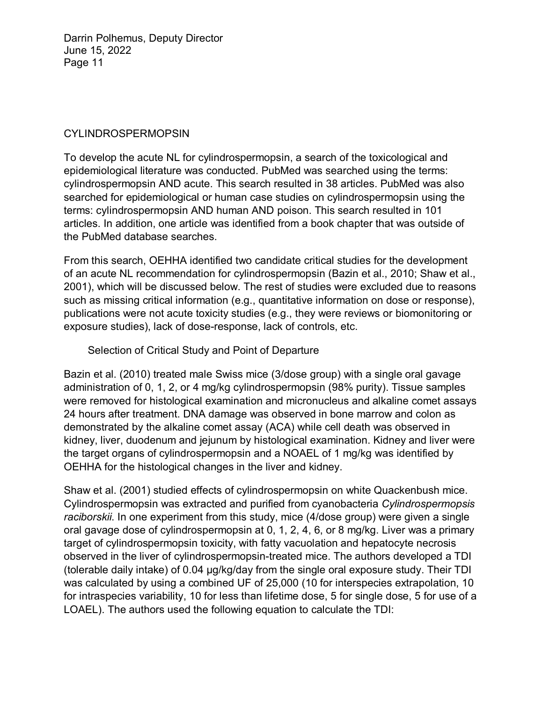### CYLINDROSPERMOPSIN

To develop the acute NL for cylindrospermopsin, a search of the toxicological and epidemiological literature was conducted. PubMed was searched using the terms: cylindrospermopsin AND acute. This search resulted in 38 articles. PubMed was also searched for epidemiological or human case studies on cylindrospermopsin using the terms: cylindrospermopsin AND human AND poison. This search resulted in 101 articles. In addition, one article was identified from a book chapter that was outside of the PubMed database searches.

From this search, OEHHA identified two candidate critical studies for the development of an acute NL recommendation for cylindrospermopsin (Bazin et al., 2010; Shaw et al., 2001), which will be discussed below. The rest of studies were excluded due to reasons such as missing critical information (e.g., quantitative information on dose or response), publications were not acute toxicity studies (e.g., they were reviews or biomonitoring or exposure studies), lack of dose-response, lack of controls, etc.

Selection of Critical Study and Point of Departure

Bazin et al. (2010) treated male Swiss mice (3/dose group) with a single oral gavage administration of 0, 1, 2, or 4 mg/kg cylindrospermopsin (98% purity). Tissue samples were removed for histological examination and micronucleus and alkaline comet assays 24 hours after treatment. DNA damage was observed in bone marrow and colon as demonstrated by the alkaline comet assay (ACA) while cell death was observed in kidney, liver, duodenum and jejunum by histological examination. Kidney and liver were the target organs of cylindrospermopsin and a NOAEL of 1 mg/kg was identified by OEHHA for the histological changes in the liver and kidney.

Shaw et al. (2001) studied effects of cylindrospermopsin on white Quackenbush mice. Cylindrospermopsin was extracted and purified from cyanobacteria *Cylindrospermopsis raciborskii*. In one experiment from this study, mice (4/dose group) were given a single oral gavage dose of cylindrospermopsin at 0, 1, 2, 4, 6, or 8 mg/kg. Liver was a primary target of cylindrospermopsin toxicity, with fatty vacuolation and hepatocyte necrosis observed in the liver of cylindrospermopsin-treated mice. The authors developed a TDI (tolerable daily intake) of 0.04 µg/kg/day from the single oral exposure study. Their TDI was calculated by using a combined UF of 25,000 (10 for interspecies extrapolation, 10 for intraspecies variability, 10 for less than lifetime dose, 5 for single dose, 5 for use of a LOAEL). The authors used the following equation to calculate the TDI: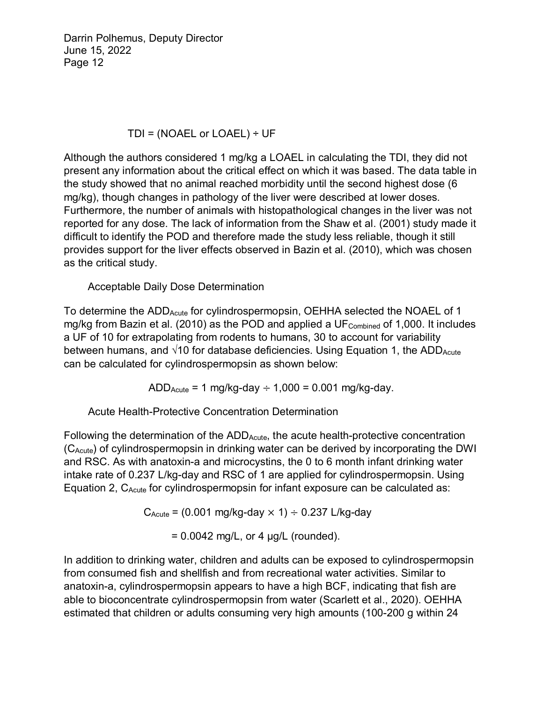## TDI = (NOAEL or LOAEL)  $\div$  UF

Although the authors considered 1 mg/kg a LOAEL in calculating the TDI, they did not present any information about the critical effect on which it was based. The data table in the study showed that no animal reached morbidity until the second highest dose (6 mg/kg), though changes in pathology of the liver were described at lower doses. Furthermore, the number of animals with histopathological changes in the liver was not reported for any dose. The lack of information from the Shaw et al. (2001) study made it difficult to identify the POD and therefore made the study less reliable, though it still provides support for the liver effects observed in Bazin et al. (2010), which was chosen as the critical study.

Acceptable Daily Dose Determination

To determine the ADD<sub>Acute</sub> for cylindrospermopsin, OEHHA selected the NOAEL of 1 mg/kg from Bazin et al. (2010) as the POD and applied a UF $_{\text{Combined}}$  of 1,000. It includes a UF of 10 for extrapolating from rodents to humans, 30 to account for variability between humans, and  $\sqrt{10}$  for database deficiencies. Using Equation 1, the ADD Acute can be calculated for cylindrospermopsin as shown below:

 $ADD_{Acute} = 1$  mg/kg-day  $\div 1,000 = 0.001$  mg/kg-day.

Acute Health-Protective Concentration Determination

Following the determination of the  $ADD_{Acute}$ , the acute health-protective concentration (CAcute) of cylindrospermopsin in drinking water can be derived by incorporating the DWI and RSC. As with anatoxin-a and microcystins, the 0 to 6 month infant drinking water intake rate of 0.237 L/kg-day and RSC of 1 are applied for cylindrospermopsin. Using Equation 2,  $C_{Acute}$  for cylindrospermopsin for infant exposure can be calculated as:

 $C_{\text{Acute}}$  = (0.001 mg/kg-day  $\times$  1)  $\div$  0.237 L/kg-day

 $= 0.0042$  mg/L, or 4  $\mu$ g/L (rounded).

In addition to drinking water, children and adults can be exposed to cylindrospermopsin from consumed fish and shellfish and from recreational water activities. Similar to anatoxin-a, cylindrospermopsin appears to have a high BCF, indicating that fish are able to bioconcentrate cylindrospermopsin from water (Scarlett et al., 2020). OEHHA estimated that children or adults consuming very high amounts (100-200 g within 24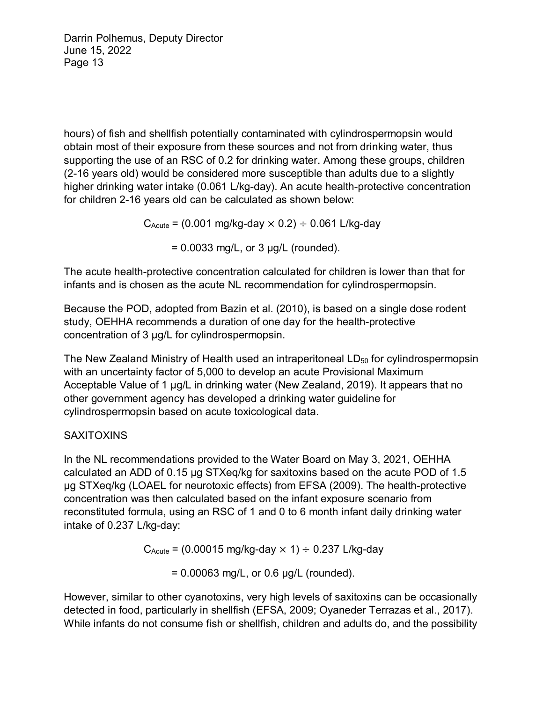hours) of fish and shellfish potentially contaminated with cylindrospermopsin would obtain most of their exposure from these sources and not from drinking water, thus supporting the use of an RSC of 0.2 for drinking water. Among these groups, children (2-16 years old) would be considered more susceptible than adults due to a slightly higher drinking water intake (0.061 L/kg-day). An acute health-protective concentration for children 2-16 years old can be calculated as shown below:

 $C_{\text{Acute}}$  = (0.001 mg/kg-day  $\times$  0.2)  $\div$  0.061 L/kg-day

 $= 0.0033$  mg/L, or 3  $\mu$ g/L (rounded).

The acute health-protective concentration calculated for children is lower than that for infants and is chosen as the acute NL recommendation for cylindrospermopsin.

Because the POD, adopted from Bazin et al. (2010), is based on a single dose rodent study, OEHHA recommends a duration of one day for the health-protective concentration of 3 µg/L for cylindrospermopsin.

The New Zealand Ministry of Health used an intraperitoneal LD<sub>50</sub> for cylindrospermopsin with an uncertainty factor of 5,000 to develop an acute Provisional Maximum Acceptable Value of 1 μg/L in drinking water (New Zealand, 2019). It appears that no other government agency has developed a drinking water guideline for cylindrospermopsin based on acute toxicological data.

## **SAXITOXINS**

In the NL recommendations provided to the Water Board on May 3, 2021, OEHHA calculated an ADD of 0.15 µg STXeq/kg for saxitoxins based on the acute POD of 1.5 µg STXeq/kg (LOAEL for neurotoxic effects) from EFSA (2009). The health-protective concentration was then calculated based on the infant exposure scenario from reconstituted formula, using an RSC of 1 and 0 to 6 month infant daily drinking water intake of 0.237 L/kg-day:

 $C_{\text{Acute}}$  = (0.00015 mg/kg-day  $\times$  1)  $\div$  0.237 L/kg-day

= 0.00063 mg/L, or 0.6 µg/L (rounded).

However, similar to other cyanotoxins, very high levels of saxitoxins can be occasionally detected in food, particularly in shellfish (EFSA, 2009; Oyaneder Terrazas et al., 2017). While infants do not consume fish or shellfish, children and adults do, and the possibility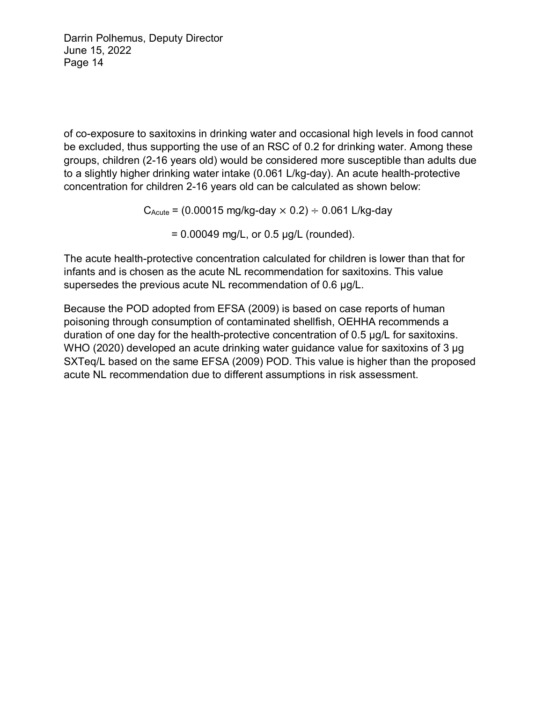of co-exposure to saxitoxins in drinking water and occasional high levels in food cannot be excluded, thus supporting the use of an RSC of 0.2 for drinking water. Among these groups, children (2-16 years old) would be considered more susceptible than adults due to a slightly higher drinking water intake (0.061 L/kg-day). An acute health-protective concentration for children 2-16 years old can be calculated as shown below:

 $C_{\text{Acute}}$  = (0.00015 mg/kg-day  $\times$  0.2)  $\div$  0.061 L/kg-day

 $= 0.00049$  mg/L, or 0.5  $\mu$ g/L (rounded).

The acute health-protective concentration calculated for children is lower than that for infants and is chosen as the acute NL recommendation for saxitoxins. This value supersedes the previous acute NL recommendation of 0.6 µg/L.

Because the POD adopted from EFSA (2009) is based on case reports of human poisoning through consumption of contaminated shellfish, OEHHA recommends a duration of one day for the health-protective concentration of 0.5 µg/L for saxitoxins. WHO (2020) developed an acute drinking water guidance value for saxitoxins of 3 µg SXTeq/L based on the same EFSA (2009) POD. This value is higher than the proposed acute NL recommendation due to different assumptions in risk assessment.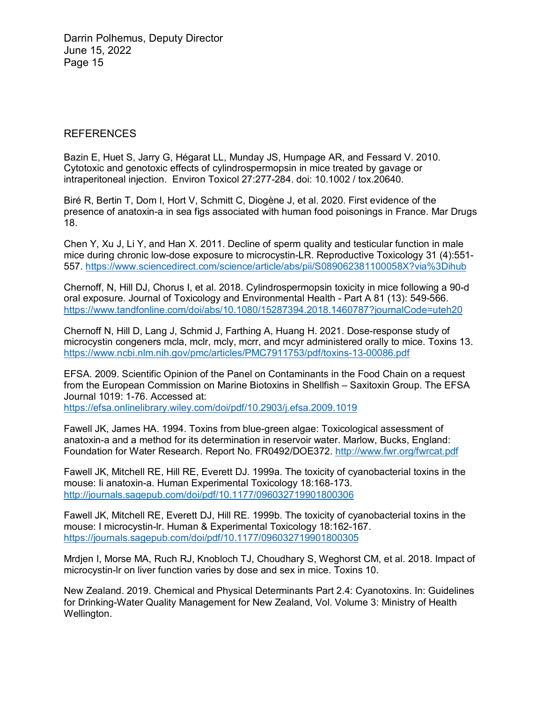#### REFERENCES

Bazin E, Huet S, Jarry G, Hégarat LL, Munday JS, Humpage AR, and Fessard V. 2010. Cytotoxic and genotoxic effects of cylindrospermopsin in mice treated by gavage or intraperitoneal injection. Environ Toxicol 27:277-284. doi: 10.1002 / tox.20640.

Biré R, Bertin T, Dom I, Hort V, Schmitt C, Diogène J, et al. 2020. First evidence of the presence of anatoxin-a in sea figs associated with human food poisonings in France. Mar Drugs 18.

Chen Y, Xu J, Li Y, and Han X. 2011. Decline of sperm quality and testicular function in male mice during chronic low-dose exposure to microcystin-LR. Reproductive Toxicology 31 (4):551- 557.<https://www.sciencedirect.com/science/article/abs/pii/S089062381100058X?via%3Dihub>

Chernoff, N, Hill DJ, Chorus I, et al. 2018. Cylindrospermopsin toxicity in mice following a 90-d oral exposure. Journal of Toxicology and Environmental Health - Part A 81 (13): 549-566. <https://www.tandfonline.com/doi/abs/10.1080/15287394.2018.1460787?journalCode=uteh20>

Chernoff N, Hill D, Lang J, Schmid J, Farthing A, Huang H. 2021. Dose-response study of microcystin congeners mcla, mclr, mcly, mcrr, and mcyr administered orally to mice. Toxins 13. <https://www.ncbi.nlm.nih.gov/pmc/articles/PMC7911753/pdf/toxins-13-00086.pdf>

EFSA. 2009. Scientific Opinion of the Panel on Contaminants in the Food Chain on a request from the European Commission on Marine Biotoxins in Shellfish – Saxitoxin Group. The EFSA Journal 1019: 1-76. Accessed at:

<https://efsa.onlinelibrary.wiley.com/doi/pdf/10.2903/j.efsa.2009.1019>

Fawell JK, James HA. 1994. Toxins from blue-green algae: Toxicological assessment of anatoxin-a and a method for its determination in reservoir water. Marlow, Bucks, England: Foundation for Water Research. Report No. FR0492/DOE372.<http://www.fwr.org/fwrcat.pdf>

Fawell JK, Mitchell RE, Hill RE, Everett DJ. 1999a. The toxicity of cyanobacterial toxins in the mouse: Ii anatoxin-a. Human Experimental Toxicology 18:168-173. <http://journals.sagepub.com/doi/pdf/10.1177/096032719901800306>

Fawell JK, Mitchell RE, Everett DJ, Hill RE. 1999b. The toxicity of cyanobacterial toxins in the mouse: I microcystin-lr. Human & Experimental Toxicology 18:162-167. <https://journals.sagepub.com/doi/pdf/10.1177/096032719901800305>

Mrdjen I, Morse MA, Ruch RJ, Knobloch TJ, Choudhary S, Weghorst CM, et al. 2018. Impact of microcystin-lr on liver function varies by dose and sex in mice. Toxins 10.

New Zealand. 2019. Chemical and Physical Determinants Part 2.4: Cyanotoxins. In: Guidelines for Drinking-Water Quality Management for New Zealand, Vol. Volume 3: Ministry of Health Wellington.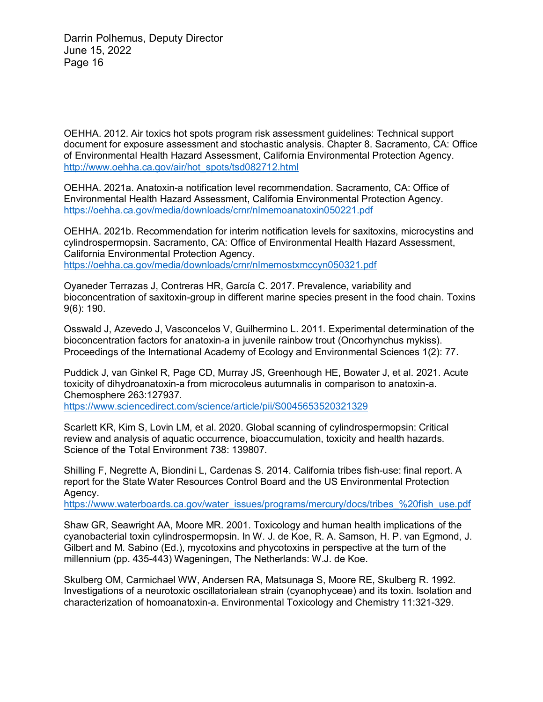OEHHA. 2012. Air toxics hot spots program risk assessment guidelines: Technical support document for exposure assessment and stochastic analysis. Chapter 8. Sacramento, CA: Office of Environmental Health Hazard Assessment, California Environmental Protection Agency. [http://www.oehha.ca.gov/air/hot\\_spots/tsd082712.html](http://www.oehha.ca.gov/air/hot_spots/tsd082712.html)

OEHHA. 2021a. Anatoxin-a notification level recommendation. Sacramento, CA: Office of Environmental Health Hazard Assessment, California Environmental Protection Agency. <https://oehha.ca.gov/media/downloads/crnr/nlmemoanatoxin050221.pdf>

OEHHA. 2021b. Recommendation for interim notification levels for saxitoxins, microcystins and cylindrospermopsin. Sacramento, CA: Office of Environmental Health Hazard Assessment, California Environmental Protection Agency. <https://oehha.ca.gov/media/downloads/crnr/nlmemostxmccyn050321.pdf>

Oyaneder Terrazas J, Contreras HR, García C. 2017. Prevalence, variability and bioconcentration of saxitoxin-group in different marine species present in the food chain. Toxins 9(6): 190.

Osswald J, Azevedo J, Vasconcelos V, Guilhermino L. 2011. Experimental determination of the bioconcentration factors for anatoxin-a in juvenile rainbow trout (Oncorhynchus mykiss). Proceedings of the International Academy of Ecology and Environmental Sciences 1(2): 77.

Puddick J, van Ginkel R, Page CD, Murray JS, Greenhough HE, Bowater J, et al. 2021. Acute toxicity of dihydroanatoxin-a from microcoleus autumnalis in comparison to anatoxin-a. Chemosphere 263:127937.

<https://www.sciencedirect.com/science/article/pii/S0045653520321329>

Scarlett KR, Kim S, Lovin LM, et al. 2020. Global scanning of cylindrospermopsin: Critical review and analysis of aquatic occurrence, bioaccumulation, toxicity and health hazards. Science of the Total Environment 738: 139807.

Shilling F, Negrette A, Biondini L, Cardenas S. 2014. California tribes fish-use: final report. A report for the State Water Resources Control Board and the US Environmental Protection Agency.

[https://www.waterboards.ca.gov/water\\_issues/programs/mercury/docs/tribes\\_%20fish\\_use.pdf](https://www.waterboards.ca.gov/water_issues/programs/mercury/docs/tribes_%20fish_use.pdf)

Shaw GR, Seawright AA, Moore MR. 2001. Toxicology and human health implications of the cyanobacterial toxin cylindrospermopsin. In W. J. de Koe, R. A. Samson, H. P. van Egmond, J. Gilbert and M. Sabino (Ed.), mycotoxins and phycotoxins in perspective at the turn of the millennium (pp. 435-443) Wageningen, The Netherlands: W.J. de Koe.

Skulberg OM, Carmichael WW, Andersen RA, Matsunaga S, Moore RE, Skulberg R. 1992. Investigations of a neurotoxic oscillatorialean strain (cyanophyceae) and its toxin. Isolation and characterization of homoanatoxin-a. Environmental Toxicology and Chemistry 11:321-329.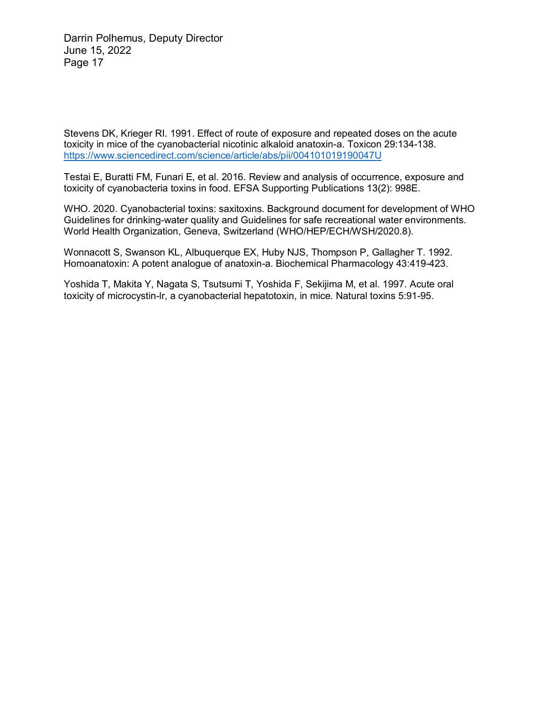Stevens DK, Krieger RI. 1991. Effect of route of exposure and repeated doses on the acute toxicity in mice of the cyanobacterial nicotinic alkaloid anatoxin-a. Toxicon 29:134-138. <https://www.sciencedirect.com/science/article/abs/pii/004101019190047U>

Testai E, Buratti FM, Funari E, et al. 2016. Review and analysis of occurrence, exposure and toxicity of cyanobacteria toxins in food. EFSA Supporting Publications 13(2): 998E.

WHO. 2020. Cyanobacterial toxins: saxitoxins. Background document for development of WHO Guidelines for drinking-water quality and Guidelines for safe recreational water environments. World Health Organization, Geneva, Switzerland (WHO/HEP/ECH/WSH/2020.8).

Wonnacott S, Swanson KL, Albuquerque EX, Huby NJS, Thompson P, Gallagher T. 1992. Homoanatoxin: A potent analogue of anatoxin-a. Biochemical Pharmacology 43:419-423.

Yoshida T, Makita Y, Nagata S, Tsutsumi T, Yoshida F, Sekijima M, et al. 1997. Acute oral toxicity of microcystin-lr, a cyanobacterial hepatotoxin, in mice. Natural toxins 5:91-95.